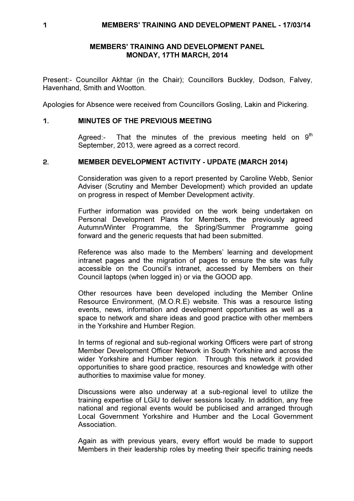## MEMBERS' TRAINING AND DEVELOPMENT PANEL MONDAY, 17TH MARCH, 2014

Present:- Councillor Akhtar (in the Chair); Councillors Buckley, Dodson, Falvey, Havenhand, Smith and Wootton.

Apologies for Absence were received from Councillors Gosling, Lakin and Pickering.

## 1. MINUTES OF THE PREVIOUS MEETING

Agreed:- That the minutes of the previous meeting held on  $9<sup>th</sup>$ September, 2013, were agreed as a correct record.

## 2. MEMBER DEVELOPMENT ACTIVITY - UPDATE (MARCH 2014)

 Consideration was given to a report presented by Caroline Webb, Senior Adviser (Scrutiny and Member Development) which provided an update on progress in respect of Member Development activity.

Further information was provided on the work being undertaken on Personal Development Plans for Members, the previously agreed Autumn/Winter Programme, the Spring/Summer Programme going forward and the generic requests that had been submitted.

Reference was also made to the Members' learning and development intranet pages and the migration of pages to ensure the site was fully accessible on the Council's intranet, accessed by Members on their Council laptops (when logged in) or via the GOOD app.

Other resources have been developed including the Member Online Resource Environment, (M.O.R.E) website. This was a resource listing events, news, information and development opportunities as well as a space to network and share ideas and good practice with other members in the Yorkshire and Humber Region.

In terms of regional and sub-regional working Officers were part of strong Member Development Officer Network in South Yorkshire and across the wider Yorkshire and Humber region. Through this network it provided opportunities to share good practice, resources and knowledge with other authorities to maximise value for money.

Discussions were also underway at a sub-regional level to utilize the training expertise of LGiU to deliver sessions locally. In addition, any free national and regional events would be publicised and arranged through Local Government Yorkshire and Humber and the Local Government Association.

Again as with previous years, every effort would be made to support Members in their leadership roles by meeting their specific training needs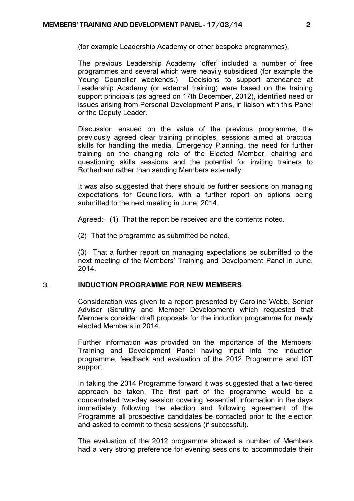(for example Leadership Academy or other bespoke programmes).

The previous Leadership Academy 'offer' included a number of free programmes and several which were heavily subsidised (for example the Young Councillor weekends.) Decisions to support attendance at Leadership Academy (or external training) were based on the training support principals (as agreed on 17th December, 2012), identified need or issues arising from Personal Development Plans, in liaison with this Panel or the Deputy Leader.

Discussion ensued on the value of the previous programme, the previously agreed clear training principles, sessions aimed at practical skills for handling the media, Emergency Planning, the need for further training on the changing role of the Elected Member, chairing and questioning skills sessions and the potential for inviting trainers to Rotherham rather than sending Members externally.

It was also suggested that there should be further sessions on managing expectations for Councillors, with a further report on options being submitted to the next meeting in June, 2014.

Agreed:- (1) That the report be received and the contents noted.

(2) That the programme as submitted be noted.

(3) That a further report on managing expectations be submitted to the next meeting of the Members' Training and Development Panel in June, 2014.

# 3. INDUCTION PROGRAMME FOR NEW MEMBERS

 Consideration was given to a report presented by Caroline Webb, Senior Adviser (Scrutiny and Member Development) which requested that Members consider draft proposals for the induction programme for newly elected Members in 2014.

Further information was provided on the importance of the Members' Training and Development Panel having input into the induction programme, feedback and evaluation of the 2012 Programme and ICT support.

In taking the 2014 Programme forward it was suggested that a two-tiered approach be taken. The first part of the programme would be a concentrated two-day session covering 'essential' information in the days immediately following the election and following agreement of the Programme all prospective candidates be contacted prior to the election and asked to commit to these sessions (if successful).

The evaluation of the 2012 programme showed a number of Members had a very strong preference for evening sessions to accommodate their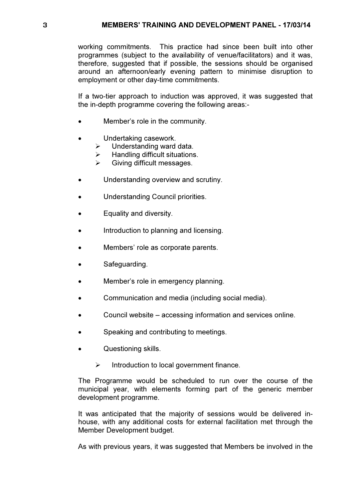working commitments. This practice had since been built into other programmes (subject to the availability of venue/facilitators) and it was, therefore, suggested that if possible, the sessions should be organised around an afternoon/early evening pattern to minimise disruption to employment or other day-time commitments.

If a two-tier approach to induction was approved, it was suggested that the in-depth programme covering the following areas:-

- Member's role in the community.
- Undertaking casework.
	- $\triangleright$  Understanding ward data.
	- $\triangleright$  Handling difficult situations.
	- $\triangleright$  Giving difficult messages.
- Understanding overview and scrutiny.
- Understanding Council priorities.
- Equality and diversity.
- Introduction to planning and licensing.
- Members' role as corporate parents.
- Safeguarding.
- Member's role in emergency planning.
- Communication and media (including social media).
- Council website accessing information and services online.
- Speaking and contributing to meetings.
- Questioning skills.
	- $\triangleright$  Introduction to local government finance.

The Programme would be scheduled to run over the course of the municipal year, with elements forming part of the generic member development programme.

It was anticipated that the majority of sessions would be delivered inhouse, with any additional costs for external facilitation met through the Member Development budget.

As with previous years, it was suggested that Members be involved in the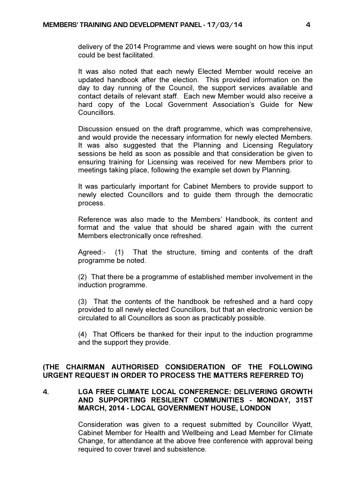delivery of the 2014 Programme and views were sought on how this input could be best facilitated.

It was also noted that each newly Elected Member would receive an updated handbook after the election. This provided information on the day to day running of the Council, the support services available and contact details of relevant staff. Each new Member would also receive a hard copy of the Local Government Association's Guide for New Councillors.

Discussion ensued on the draft programme, which was comprehensive, and would provide the necessary information for newly elected Members. It was also suggested that the Planning and Licensing Regulatory sessions be held as soon as possible and that consideration be given to ensuring training for Licensing was received for new Members prior to meetings taking place, following the example set down by Planning.

It was particularly important for Cabinet Members to provide support to newly elected Councillors and to guide them through the democratic process.

Reference was also made to the Members' Handbook, its content and format and the value that should be shared again with the current Members electronically once refreshed.

Agreed:- (1) That the structure, timing and contents of the draft programme be noted.

(2) That there be a programme of established member involvement in the induction programme.

(3) That the contents of the handbook be refreshed and a hard copy provided to all newly elected Councillors, but that an electronic version be circulated to all Councillors as soon as practicably possible.

(4) That Officers be thanked for their input to the induction programme and the support they provide.

## (THE CHAIRMAN AUTHORISED CONSIDERATION OF THE FOLLOWING URGENT REQUEST IN ORDER TO PROCESS THE MATTERS REFERRED TO)

## 4. LGA FREE CLIMATE LOCAL CONFERENCE: DELIVERING GROWTH AND SUPPORTING RESILIENT COMMUNITIES - MONDAY, 31ST MARCH, 2014 - LOCAL GOVERNMENT HOUSE, LONDON

 Consideration was given to a request submitted by Councillor Wyatt, Cabinet Member for Health and Wellbeing and Lead Member for Climate Change, for attendance at the above free conference with approval being required to cover travel and subsistence.